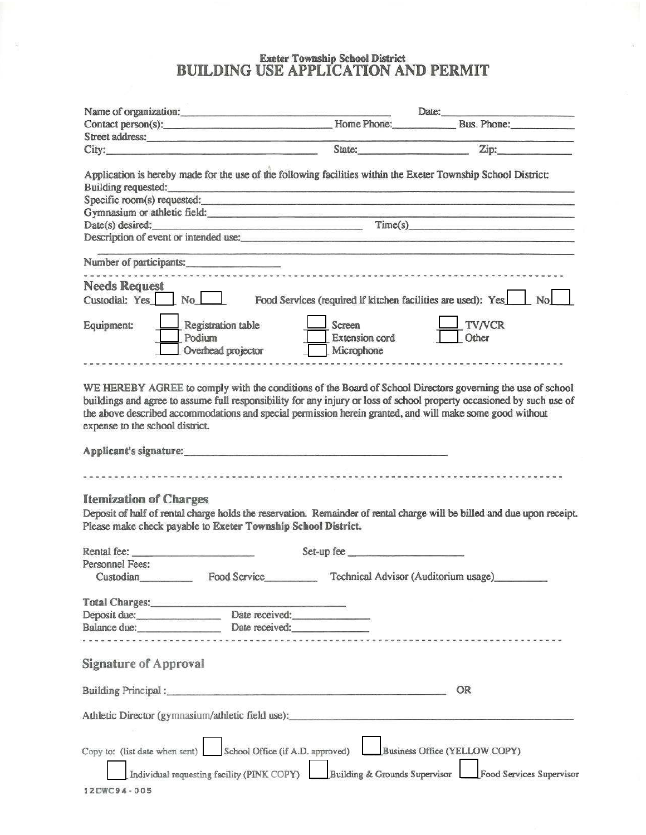# Exeter Township School District<br>BUILDING USE APPLICATION AND PERMIT

š.

|                                                               | Name of organization:                              | Date:                                                                             |                                                                                                                                                                                                                                                                                                                                                  |  |
|---------------------------------------------------------------|----------------------------------------------------|-----------------------------------------------------------------------------------|--------------------------------------------------------------------------------------------------------------------------------------------------------------------------------------------------------------------------------------------------------------------------------------------------------------------------------------------------|--|
|                                                               | Contact person(s):                                 |                                                                                   | Home Phone: Bus. Phone:                                                                                                                                                                                                                                                                                                                          |  |
|                                                               | Street address:                                    |                                                                                   |                                                                                                                                                                                                                                                                                                                                                  |  |
|                                                               | City:                                              | State:                                                                            | Zip:                                                                                                                                                                                                                                                                                                                                             |  |
|                                                               | Building requested:                                |                                                                                   | Application is hereby made for the use of the following facilities within the Exeter Township School District:                                                                                                                                                                                                                                   |  |
|                                                               |                                                    |                                                                                   | Specific room(s) requested:                                                                                                                                                                                                                                                                                                                      |  |
|                                                               | Gymnasium or athletic field: <b>Example 2018</b>   |                                                                                   | <u> San Televisyonelle Simpson (Alexandria) (San Television)</u>                                                                                                                                                                                                                                                                                 |  |
|                                                               |                                                    |                                                                                   | Time(s)                                                                                                                                                                                                                                                                                                                                          |  |
|                                                               |                                                    |                                                                                   | Description of event or intended use:                                                                                                                                                                                                                                                                                                            |  |
| Number of participants:                                       |                                                    |                                                                                   |                                                                                                                                                                                                                                                                                                                                                  |  |
| <b>Needs Request</b>                                          |                                                    |                                                                                   |                                                                                                                                                                                                                                                                                                                                                  |  |
| Custodial: Yes No                                             |                                                    | Food Services (required if kitchen facilities are used): Yes                      | No                                                                                                                                                                                                                                                                                                                                               |  |
| Equipment:                                                    | Registration table<br>Podium<br>Overhead projector | Screen<br><b>Extension</b> cord<br>Microphone                                     | <b>TV/VCR</b><br>Other                                                                                                                                                                                                                                                                                                                           |  |
|                                                               |                                                    |                                                                                   |                                                                                                                                                                                                                                                                                                                                                  |  |
| expense to the school district.                               |                                                    |                                                                                   | WE HEREBY AGREE to comply with the conditions of the Board of School Directors governing the use of school<br>buildings and agree to assume full responsibility for any injury or loss of school property occasioned by such use of<br>the above described accommodations and special permission herein granted, and will make some good without |  |
|                                                               |                                                    |                                                                                   |                                                                                                                                                                                                                                                                                                                                                  |  |
|                                                               |                                                    |                                                                                   |                                                                                                                                                                                                                                                                                                                                                  |  |
|                                                               |                                                    |                                                                                   |                                                                                                                                                                                                                                                                                                                                                  |  |
| <b>Itemization of Charges</b>                                 |                                                    |                                                                                   |                                                                                                                                                                                                                                                                                                                                                  |  |
|                                                               |                                                    |                                                                                   | Deposit of half of rental charge holds the reservation. Remainder of rental charge will be billed and due upon receipt.                                                                                                                                                                                                                          |  |
| Please make check payable to Exeter Township School District. |                                                    |                                                                                   |                                                                                                                                                                                                                                                                                                                                                  |  |
| Rental fee:                                                   |                                                    | Set-up fee                                                                        |                                                                                                                                                                                                                                                                                                                                                  |  |
| <b>Personnel Fees:</b>                                        |                                                    |                                                                                   |                                                                                                                                                                                                                                                                                                                                                  |  |
| Custodian                                                     | Food Service                                       | Technical Advisor (Auditorium usage)                                              |                                                                                                                                                                                                                                                                                                                                                  |  |
|                                                               |                                                    |                                                                                   |                                                                                                                                                                                                                                                                                                                                                  |  |
| Deposit due: Date received:                                   |                                                    |                                                                                   |                                                                                                                                                                                                                                                                                                                                                  |  |
|                                                               | Balance due: Date received:                        |                                                                                   |                                                                                                                                                                                                                                                                                                                                                  |  |
|                                                               |                                                    |                                                                                   |                                                                                                                                                                                                                                                                                                                                                  |  |
| <b>Signature of Approval</b>                                  |                                                    |                                                                                   |                                                                                                                                                                                                                                                                                                                                                  |  |
|                                                               |                                                    |                                                                                   | <b>OR</b>                                                                                                                                                                                                                                                                                                                                        |  |
|                                                               |                                                    | Athletic Director (gymnasium/athletic field use):________________________________ |                                                                                                                                                                                                                                                                                                                                                  |  |
|                                                               |                                                    |                                                                                   |                                                                                                                                                                                                                                                                                                                                                  |  |
| Copy to: (list date when sent)                                | School Office (if A.D. approved)                   |                                                                                   | Business Office (YELLOW COPY)                                                                                                                                                                                                                                                                                                                    |  |
|                                                               |                                                    |                                                                                   |                                                                                                                                                                                                                                                                                                                                                  |  |
|                                                               | Individual requesting facility (PINK COPY)         | Building & Grounds Supervisor                                                     | Food Services Supervisor                                                                                                                                                                                                                                                                                                                         |  |
| 12DWC94-005                                                   |                                                    |                                                                                   |                                                                                                                                                                                                                                                                                                                                                  |  |